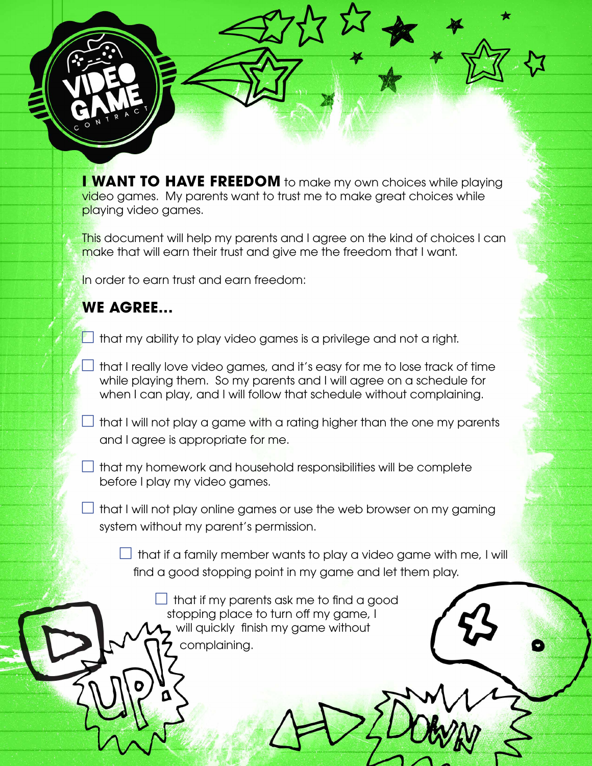**I WANT TO HAVE FREEDOM** to make my own choices while playing video games. My parents want to trust me to make great choices while playing video games.

This document will help my parents and I agree on the kind of choices I can make that will earn their trust and give me the freedom that I want.

In order to earn trust and earn freedom:

## **WE AGREE...**

- $\Box$  that my ability to play video games is a privilege and not a right.
- $\Box$  that I really love video games, and it's easy for me to lose track of time while playing them. So my parents and I will agree on a schedule for when I can play, and I will follow that schedule without complaining.
- $\Box$  that I will not play a game with a rating higher than the one my parents and I agree is appropriate for me.
- $\Box$  that my homework and household responsibilities will be complete before I play my video games.
- $\perp$  that I will not play online games or use the web browser on my gaming system without my parent's permission.
	- $\Box$  that if a family member wants to play a video game with me, I will find a good stopping point in my game and let them play.

 that if my parents ask me to find a good stopping place to turn off my game, I will quickly finish my game without complaining.